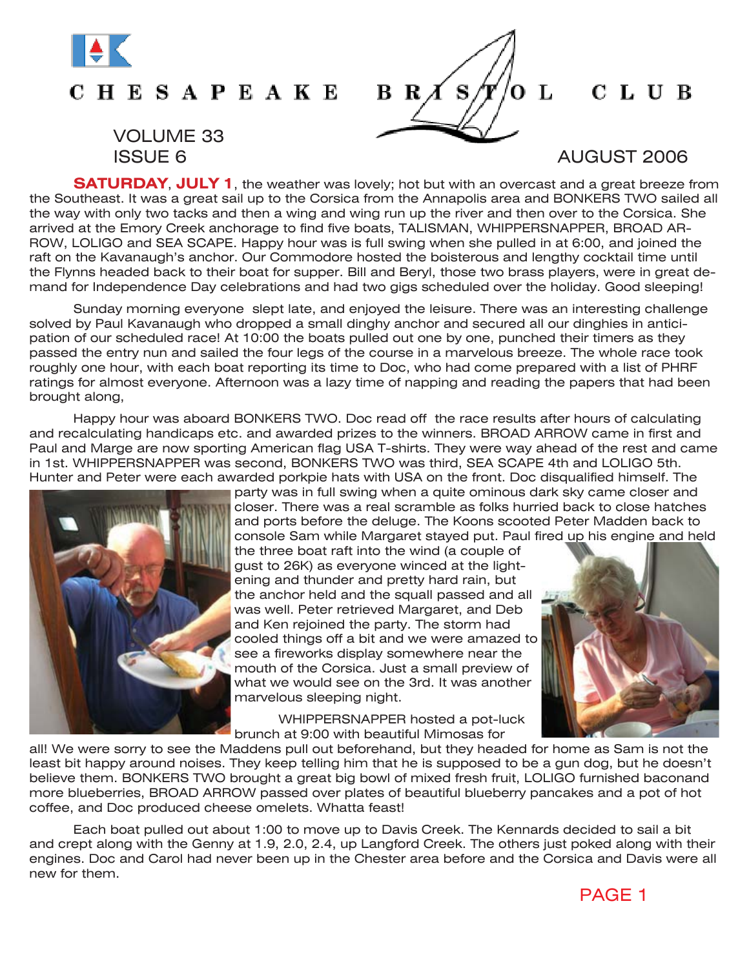

## **CHESAPEAKE**

# VOLUME 33



### CLUB

**SATURDAY**, **JULY 1**, the weather was lovely; hot but with an overcast and a great breeze from the Southeast. It was a great sail up to the Corsica from the Annapolis area and BONKERS TWO sailed all the way with only two tacks and then a wing and wing run up the river and then over to the Corsica. She arrived at the Emory Creek anchorage to find five boats, TALISMAN, WHIPPERSNAPPER, BROAD AR-ROW, LOLIGO and SEA SCAPE. Happy hour was is full swing when she pulled in at 6:00, and joined the raft on the Kavanaugh's anchor. Our Commodore hosted the boisterous and lengthy cocktail time until the Flynns headed back to their boat for supper. Bill and Beryl, those two brass players, were in great demand for Independence Day celebrations and had two gigs scheduled over the holiday. Good sleeping!

Sunday morning everyone slept late, and enjoyed the leisure. There was an interesting challenge solved by Paul Kavanaugh who dropped a small dinghy anchor and secured all our dinghies in anticipation of our scheduled race! At 10:00 the boats pulled out one by one, punched their timers as they passed the entry nun and sailed the four legs of the course in a marvelous breeze. The whole race took roughly one hour, with each boat reporting its time to Doc, who had come prepared with a list of PHRF ratings for almost everyone. Afternoon was a lazy time of napping and reading the papers that had been brought along,

Happy hour was aboard BONKERS TWO. Doc read off the race results after hours of calculating and recalculating handicaps etc. and awarded prizes to the winners. BROAD ARROW came in first and Paul and Marge are now sporting American flag USA T-shirts. They were way ahead of the rest and came in 1st. WHIPPERSNAPPER was second, BONKERS TWO was third, SEA SCAPE 4th and LOLIGO 5th. Hunter and Peter were each awarded porkpie hats with USA on the front. Doc disqualified himself. The



party was in full swing when a quite ominous dark sky came closer and closer. There was a real scramble as folks hurried back to close hatches and ports before the deluge. The Koons scooted Peter Madden back to console Sam while Margaret stayed put. Paul fired up his engine and held

the three boat raft into the wind (a couple of gust to 26K) as everyone winced at the lightening and thunder and pretty hard rain, but the anchor held and the squall passed and all was well. Peter retrieved Margaret, and Deb and Ken rejoined the party. The storm had cooled things off a bit and we were amazed to see a fireworks display somewhere near the mouth of the Corsica. Just a small preview of what we would see on the 3rd. It was another marvelous sleeping night.

WHIPPERSNAPPER hosted a pot-luck brunch at 9:00 with beautiful Mimosas for

all! We were sorry to see the Maddens pull out beforehand, but they headed for home as Sam is not the least bit happy around noises. They keep telling him that he is supposed to be a gun dog, but he doesn't believe them. BONKERS TWO brought a great big bowl of mixed fresh fruit, LOLIGO furnished baconand more blueberries, BROAD ARROW passed over plates of beautiful blueberry pancakes and a pot of hot coffee, and Doc produced cheese omelets. Whatta feast!

Each boat pulled out about 1:00 to move up to Davis Creek. The Kennards decided to sail a bit and crept along with the Genny at 1.9, 2.0, 2.4, up Langford Creek. The others just poked along with their engines. Doc and Carol had never been up in the Chester area before and the Corsica and Davis were all new for them.

PAGE 1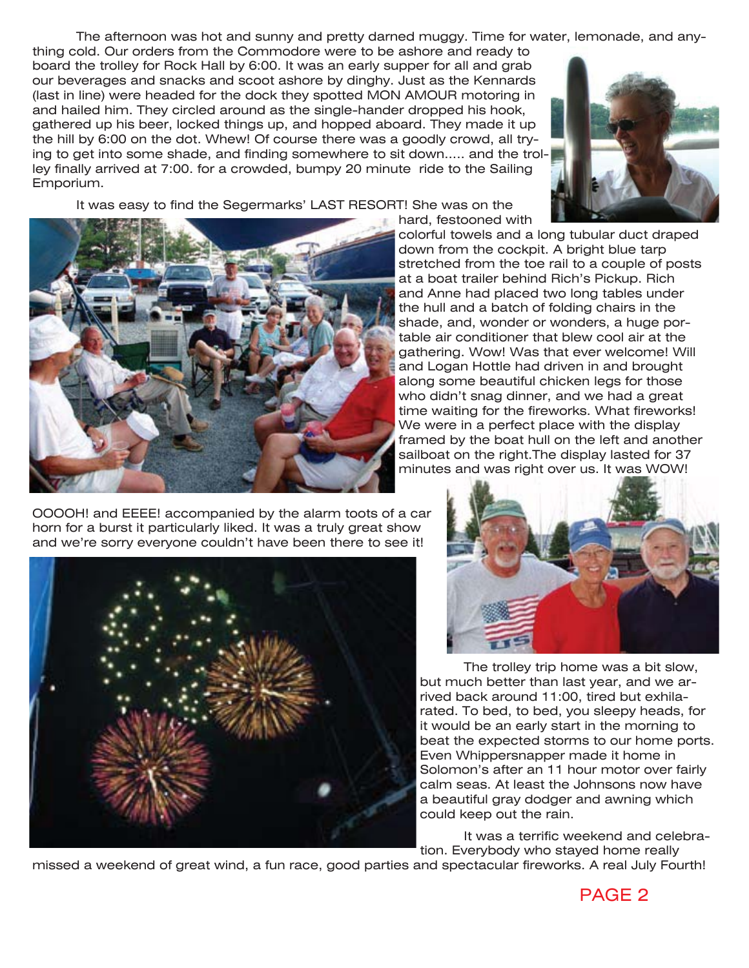The afternoon was hot and sunny and pretty darned muggy. Time for water, lemonade, and any-

thing cold. Our orders from the Commodore were to be ashore and ready to board the trolley for Rock Hall by 6:00. It was an early supper for all and grab our beverages and snacks and scoot ashore by dinghy. Just as the Kennards (last in line) were headed for the dock they spotted MON AMOUR motoring in and hailed him. They circled around as the single-hander dropped his hook, gathered up his beer, locked things up, and hopped aboard. They made it up the hill by 6:00 on the dot. Whew! Of course there was a goodly crowd, all trying to get into some shade, and finding somewhere to sit down..... and the trolley finally arrived at 7:00. for a crowded, bumpy 20 minute ride to the Sailing Emporium.



It was easy to find the Segermarks' LAST RESORT! She was on the



colorful towels and a long tubular duct draped down from the cockpit. A bright blue tarp stretched from the toe rail to a couple of posts at a boat trailer behind Rich's Pickup. Rich and Anne had placed two long tables under the hull and a batch of folding chairs in the shade, and, wonder or wonders, a huge portable air conditioner that blew cool air at the gathering. Wow! Was that ever welcome! Will and Logan Hottle had driven in and brought along some beautiful chicken legs for those who didn't snag dinner, and we had a great time waiting for the fireworks. What fireworks! We were in a perfect place with the display framed by the boat hull on the left and another sailboat on the right.The display lasted for 37 minutes and was right over us. It was WOW!

OOOOH! and EEEE! accompanied by the alarm toots of a car horn for a burst it particularly liked. It was a truly great show and we're sorry everyone couldn't have been there to see it!





The trolley trip home was a bit slow, but much better than last year, and we arrived back around 11:00, tired but exhilarated. To bed, to bed, you sleepy heads, for it would be an early start in the morning to beat the expected storms to our home ports. Even Whippersnapper made it home in Solomon's after an 11 hour motor over fairly calm seas. At least the Johnsons now have a beautiful gray dodger and awning which could keep out the rain.

It was a terrific weekend and celebration. Everybody who stayed home really

missed a weekend of great wind, a fun race, good parties and spectacular fireworks. A real July Fourth!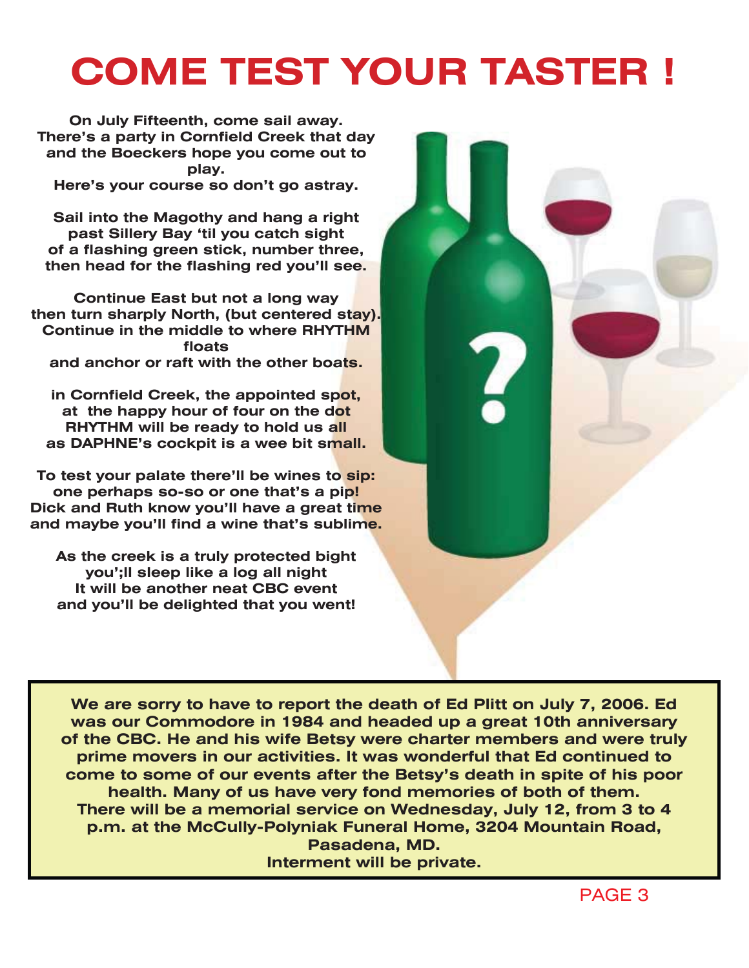# **COME TEST YOUR TASTER !**

**On July Fifteenth, come sail away. There's a party in Cornfield Creek that day and the Boeckers hope you come out to play.**

**Here's your course so don't go astray.**

**Sail into the Magothy and hang a right past Sillery Bay 'til you catch sight of a flashing green stick, number three, then head for the flashing red you'll see.**

**Continue East but not a long way then turn sharply North, (but centered stay). Continue in the middle to where RHYTHM floats and anchor or raft with the other boats.** 

**in Cornfield Creek, the appointed spot, at the happy hour of four on the dot RHYTHM will be ready to hold us all as DAPHNE's cockpit is a wee bit small.**

**To test your palate there'll be wines to sip: one perhaps so-so or one that's a pip! Dick and Ruth know you'll have a great time and maybe you'll find a wine that's sublime.**

**As the creek is a truly protected bight you';ll sleep like a log all night It will be another neat CBC event and you'll be delighted that you went!**



**Pasadena, MD. Interment will be private.**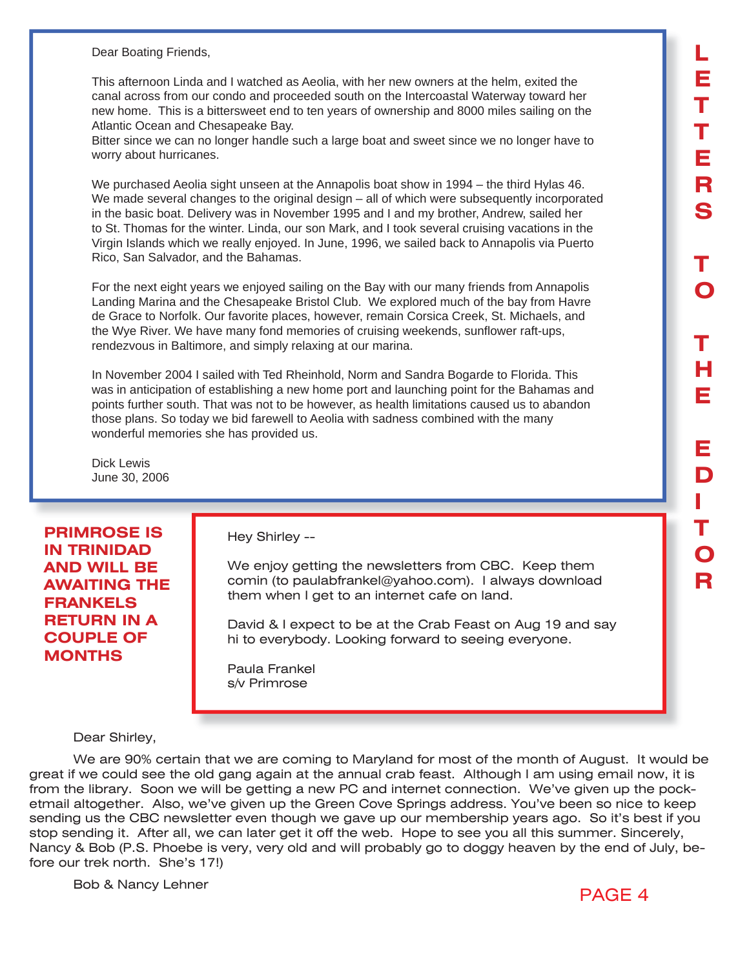Dear Boating Friends,

This afternoon Linda and I watched as Aeolia, with her new owners at the helm, exited the canal across from our condo and proceeded south on the Intercoastal Waterway toward her new home. This is a bittersweet end to ten years of ownership and 8000 miles sailing on the Atlantic Ocean and Chesapeake Bay.

Bitter since we can no longer handle such a large boat and sweet since we no longer have to worry about hurricanes.

We purchased Aeolia sight unseen at the Annapolis boat show in 1994 – the third Hylas 46. We made several changes to the original design – all of which were subsequently incorporated in the basic boat. Delivery was in November 1995 and I and my brother, Andrew, sailed her to St. Thomas for the winter. Linda, our son Mark, and I took several cruising vacations in the Virgin Islands which we really enjoyed. In June, 1996, we sailed back to Annapolis via Puerto Rico, San Salvador, and the Bahamas.

For the next eight years we enjoyed sailing on the Bay with our many friends from Annapolis Landing Marina and the Chesapeake Bristol Club. We explored much of the bay from Havre de Grace to Norfolk. Our favorite places, however, remain Corsica Creek, St. Michaels, and the Wye River. We have many fond memories of cruising weekends, sunflower raft-ups, rendezvous in Baltimore, and simply relaxing at our marina.

In November 2004 I sailed with Ted Rheinhold, Norm and Sandra Bogarde to Florida. This was in anticipation of establishing a new home port and launching point for the Bahamas and points further south. That was not to be however, as health limitations caused us to abandon those plans. So today we bid farewell to Aeolia with sadness combined with the many wonderful memories she has provided us.

Dick Lewis June 30, 2006

### **PRIMROSE IS IN TRINIDAD AND WILL BE AWAITING THE FRANKELS RETURN IN A COUPLE OF MONTHS**

Hey Shirley --

We enjoy getting the newsletters from CBC. Keep them comin (to paulabfrankel@yahoo.com). I always download them when I get to an internet cafe on land.

David & I expect to be at the Crab Feast on Aug 19 and say hi to everybody. Looking forward to seeing everyone.

Paula Frankel s/v Primrose

#### Dear Shirley,

We are 90% certain that we are coming to Maryland for most of the month of August. It would be great if we could see the old gang again at the annual crab feast. Although I am using email now, it is from the library. Soon we will be getting a new PC and internet connection. We've given up the pocketmail altogether. Also, we've given up the Green Cove Springs address. You've been so nice to keep sending us the CBC newsletter even though we gave up our membership years ago. So it's best if you stop sending it. After all, we can later get it off the web. Hope to see you all this summer. Sincerely, Nancy & Bob (P.S. Phoebe is very, very old and will probably go to doggy heaven by the end of July, before our trek north. She's 17!)

Bob & Nancy Lehner

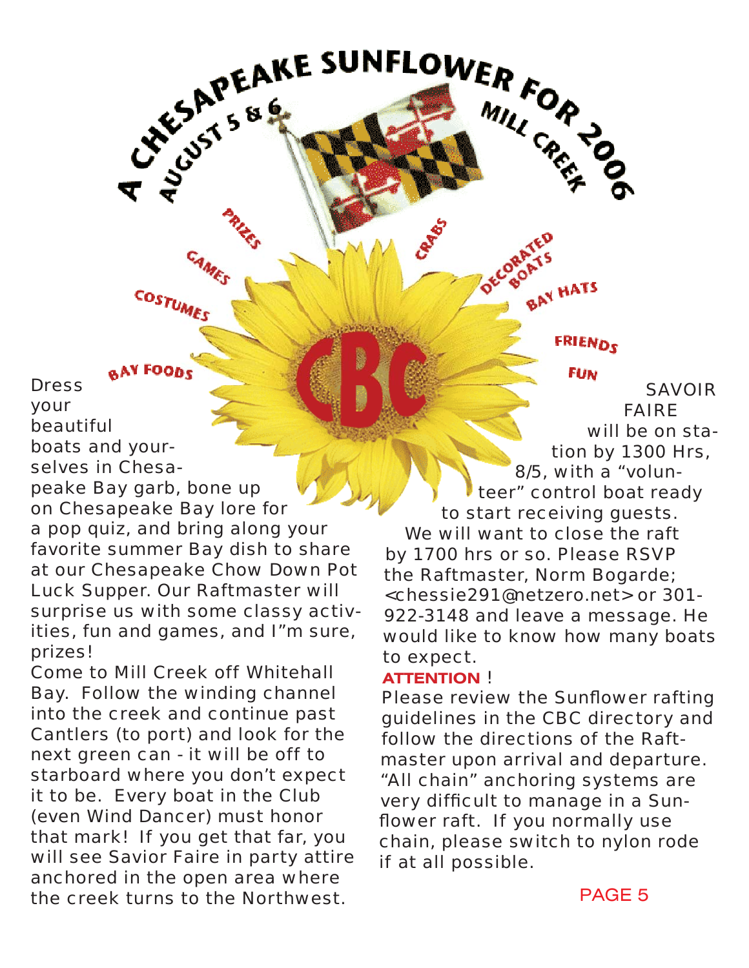**BAY FOODS Dress** your beautiful boats and yourselves in Chesapeake Bay garb, bone up on Chesapeake Bay lore for a pop quiz, and bring along your favorite summer Bay dish to share at our Chesapeake Chow Down Pot Luck Supper. Our Raftmaster will surprise us with some classy activities, fun and games, and I"m sure, prizes!

COSTUMES

Come to Mill Creek off Whitehall Bay. Follow the winding channel into the creek and continue past Cantlers (to port) and look for the next green can - it will be off to starboard where you don't expect it to be. Every boat in the Club (even Wind Dancer) must honor that mark! If you get that far, you will see Savior Faire in party attire anchored in the open area where the creek turns to the Northwest.

**FRIENDS FUN** 

BAY HATS

SAVOIR FAIRE will be on station by 1300 Hrs, 8/5, with a "volunteer" control boat ready to start receiving guests. We will want to close the raft by 1700 hrs or so. Please RSVP

the Raftmaster, Norm Bogarde; <chessie291@netzero.net> or 301- 922-3148 and leave a message. He would like to know how many boats to expect.

### **ATTENTION** !

CHEAKE SUNFLOWER FOR JOSEPHANE SERVER PORT

Please review the Sunflower rafting guidelines in the CBC directory and follow the directions of the Raftmaster upon arrival and departure. "All chain" anchoring systems are very difficult to manage in a Sunflower raft. If you normally use chain, please switch to nylon rode if at all possible.

PAGE 5